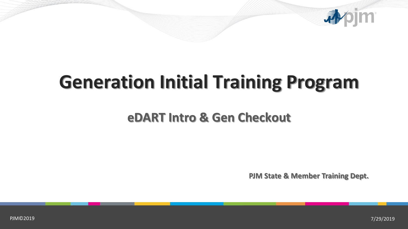

## **Generation Initial Training Program**

## **eDART Intro & Gen Checkout**

**PJM State & Member Training Dept.**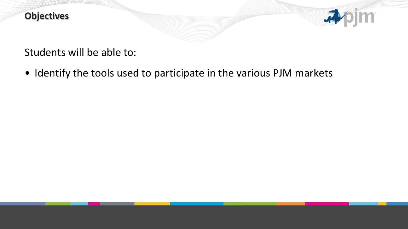

Students will be able to:

• Identify the tools used to participate in the various PJM markets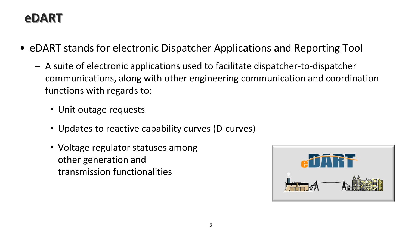## **eDART**

- eDART stands for electronic Dispatcher Applications and Reporting Tool
	- ‒ A suite of electronic applications used to facilitate dispatcher-to-dispatcher communications, along with other engineering communication and coordination functions with regards to:
		- Unit outage requests
		- Updates to reactive capability curves (D-curves)
		- Voltage regulator statuses among other generation and transmission functionalities

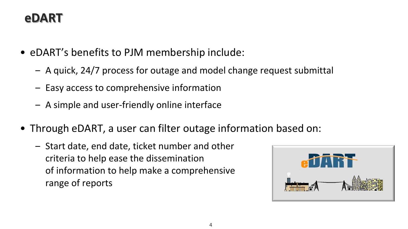## **eDART**

- eDART's benefits to PJM membership include:
	- ‒ A quick, 24/7 process for outage and model change request submittal
	- ‒ Easy access to comprehensive information
	- ‒ A simple and user-friendly online interface
- Through eDART, a user can filter outage information based on:
	- ‒ Start date, end date, ticket number and other criteria to help ease the dissemination of information to help make a comprehensive range of reports

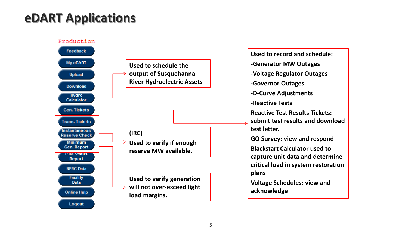## **eDART Applications**



**Used to record and schedule: -Generator MW Outages -Voltage Regulator Outages -Governor Outages -D-Curve Adjustments -Reactive Tests Reactive Test Results Tickets: submit test results and download test letter. GO Survey: view and respond Blackstart Calculator used to capture unit data and determine critical load in system restoration plans Voltage Schedules: view and acknowledge**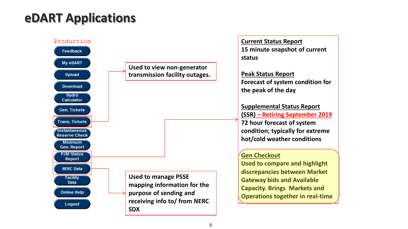## **eDART Applications**

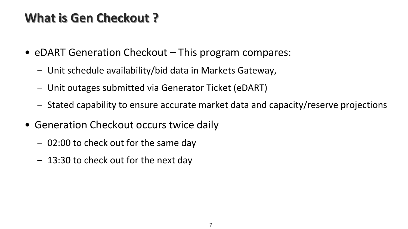## **What is Gen Checkout ?**

- eDART Generation Checkout This program compares:
	- ‒ Unit schedule availability/bid data in Markets Gateway,
	- ‒ Unit outages submitted via Generator Ticket (eDART)
	- ‒ Stated capability to ensure accurate market data and capacity/reserve projections
- Generation Checkout occurs twice daily
	- 02:00 to check out for the same day
	- 13:30 to check out for the next day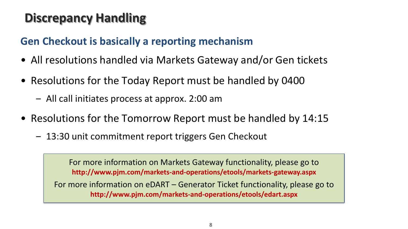## **Discrepancy Handling**

### **Gen Checkout is basically a reporting mechanism**

- All resolutions handled via Markets Gateway and/or Gen tickets
- Resolutions for the Today Report must be handled by 0400
	- ‒ All call initiates process at approx. 2:00 am
- Resolutions for the Tomorrow Report must be handled by 14:15
	- 13:30 unit commitment report triggers Gen Checkout

For more information on Markets Gateway functionality, please go to **http://www.pjm.com/markets-and-operations/etools/markets-gateway.aspx**

For more information on eDART – Generator Ticket functionality, please go to **http://www.pjm.com/markets-and-operations/etools/edart.aspx**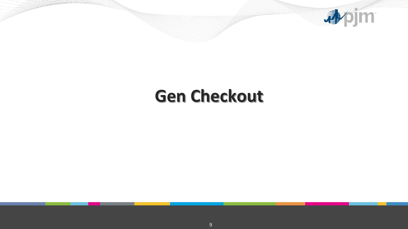

## **Gen Checkout**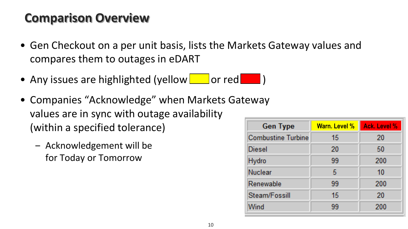## **Comparison Overview**

- Gen Checkout on a per unit basis, lists the Markets Gateway values and compares them to outages in eDART
- Any issues are highlighted (yellow  $\Box$  or red  $\Box$ )
- Companies "Acknowledge" when Markets Gateway values are in sync with outage availability (within a specified tolerance)
	- ‒ Acknowledgement will be for Today or Tomorrow

| <b>Gen Type</b>           | Warn. Level % | <b>Ack. Level %</b> |
|---------------------------|---------------|---------------------|
| <b>Combustine Turbine</b> | 15            | 20                  |
| Diesel                    | 20            | -50                 |
| Hydro                     | 99            | 200                 |
| Nuclear                   | 5             | -10                 |
| Renewable                 | 99            | 200                 |
| Steam/Fossill             | 15            | 20                  |
| Wind                      | 99            | 200                 |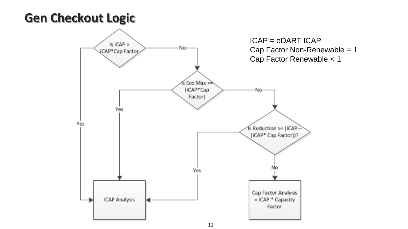## **Gen Checkout Logic**

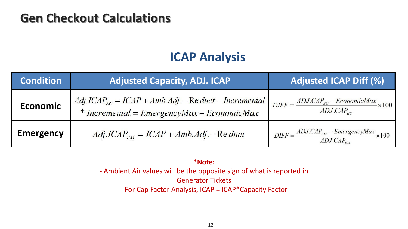### **Gen Checkout Calculations**

### **ICAP Analysis**

| <b>Condition</b> | <b>Adjusted Capacity, ADJ. ICAP</b>                                                                       | Adjusted ICAP Diff (%)                                                                             |
|------------------|-----------------------------------------------------------------------------------------------------------|----------------------------------------------------------------------------------------------------|
| <b>Economic</b>  | $Adj. ICAP_{EC} = ICAP + Amb. Adj. - Re duct - Incremental$<br>* Incremental = EmergencyMax – EconomicMax | $\begin{aligned} DIF & = \frac{ADJ.CAP_{EC} - EconomicMax}{ADJ.CAP_{EC}} \times 100 \end{aligned}$ |
| <b>Emergency</b> | $Adj. ICAPFM = ICAP + Amb. Adj. - Re duct$                                                                | $DIFF = \frac{ADJ.CAP_{EM} - EmergencyMax}{ADJ.CAP_{EM}} \times 100$                               |

#### **\*Note:**

- Ambient Air values will be the opposite sign of what is reported in Generator Tickets - For Cap Factor Analysis, ICAP = ICAP\*Capacity Factor